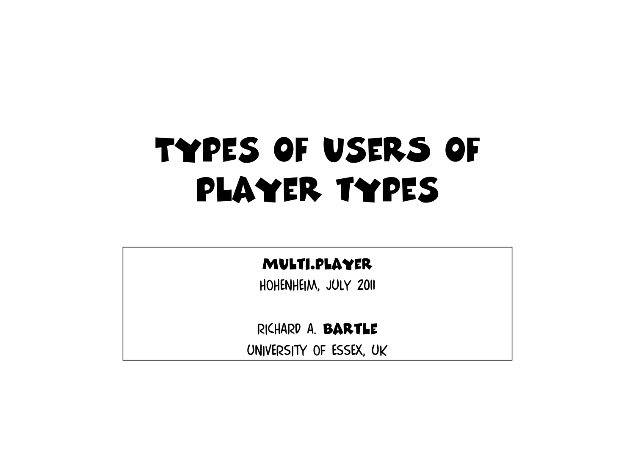# TYPES OF USERS OF player types

## Multi.player

hohenheim, July 2011

Richard A. Bartle

University of esSex, uk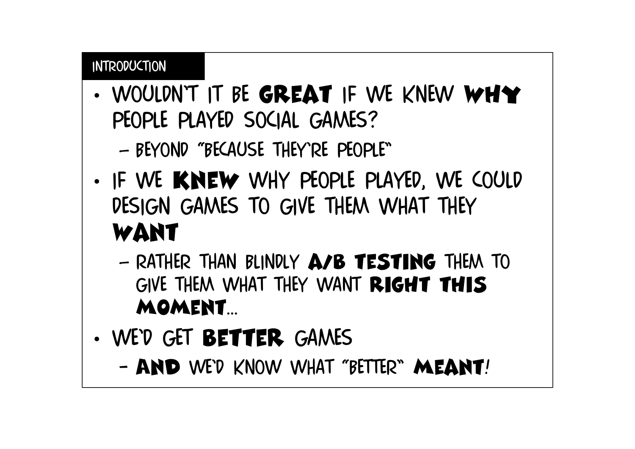#### introduction

- •WOULDN'T IT BE GREAT IF WE KNEW WHY people played social games?–Beyond "because they're people"
- •IF WE KNEW WHY PEOPLE PLAYED, WE COULD design games to give them what they want
	- –RATHER THAN BLINDLY A/B TESTING THEM TO give them what they want right this moment...
- •WE'D GET BETTER GAMES
	- –And we'd know what "better" meant!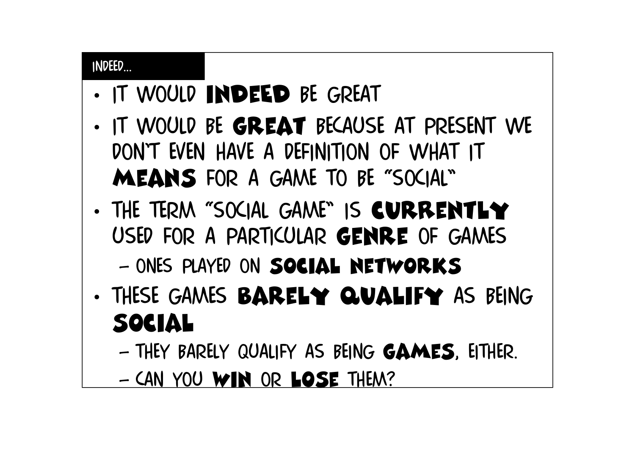## Indeed...

- •IT WOULD INDEED BE GREAT
- •IT WOULD BE GREAT BECAUSE AT PRESENT WE<br>DON'T EVENT HAVE A DECINITION OF VALLAT IT don't even have a definition of what it means for a game to be "social"
- •THE TERM "SOCIAL GAME" IS **CURRENTLY** used for a particular genre of games
	- –ONES PLAYED ON SOCIAL NETWORKS
- •THESE GAMES **BARELY QUALIFY** AS BEING social
	- –THEY BARELY QUALIFY AS BEING GAMES, EITHER.
	- –CAN YOU WIN OR LOSE THEM?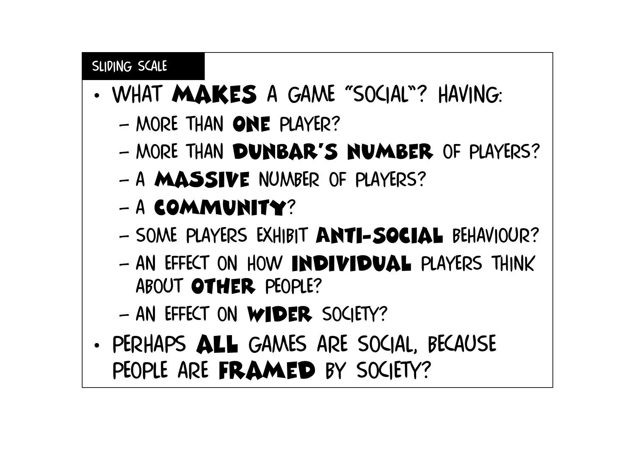## Sliding scale

- •WHAT MAKES A GAME "SOCIAL"? HAVING:
	- –MORE THAN ONE PLAYER?
	- –MORE THAN DUNBAR'S NUMBER OF PLAYERS?
	- –A MASSIVE NUMBER OF PLAYERS?
	- –A COMMUNITY?
	- –Some players exhibit Anti-social behaviour?
	- –AN EFFECT ON HOW INDIVIDUAL PLAYERS THINK ABOUT OTHER PEOPLE?
	- –AN EFFECT ON WIDER SOCIETY?
- •PERHAPS ALL GAMES ARE SOCIAL, BECAUSE people are framed by society?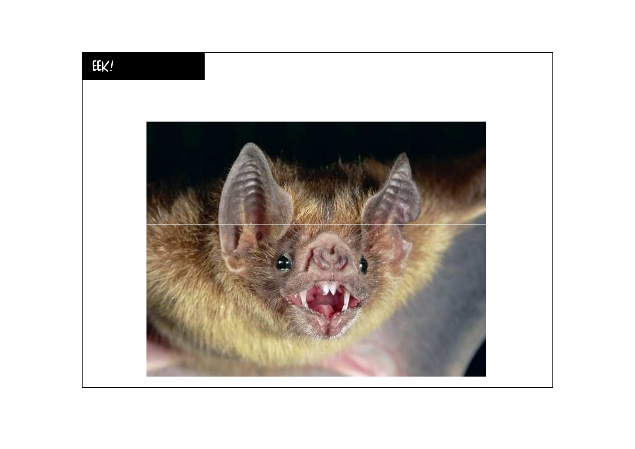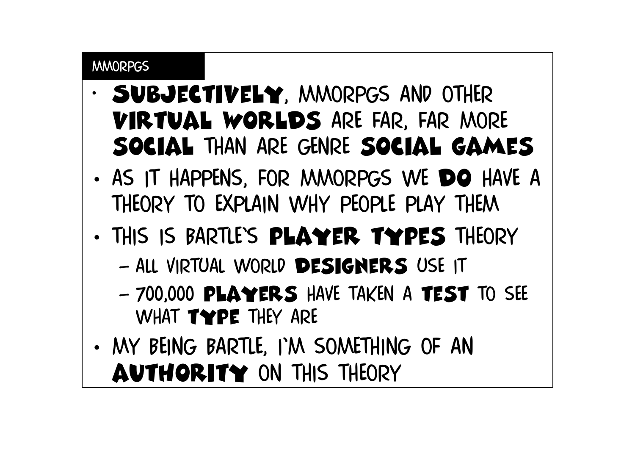## mmorpgs

- •SUBJECTIVELY, MMORPGS AND OTHER<br>WIDTUAL WORLDS ADE EAD EAD MODE virtual worlds are far, far more social than are genre social games
- •AS IT HAPPENS, FOR MMORPGS WE DO HAVE A theory to explain why people play them
- • This is bartle's player types theory
	- –ALL VIRTUAL WORLD DESIGNERS USE IT
	- – 700,000 players have taken a test to see WHAT TYPE THEY ARE
- •MY BEING BARTLE, I'M SOMETHING OF AN AUTHORITY ON THIS THEORY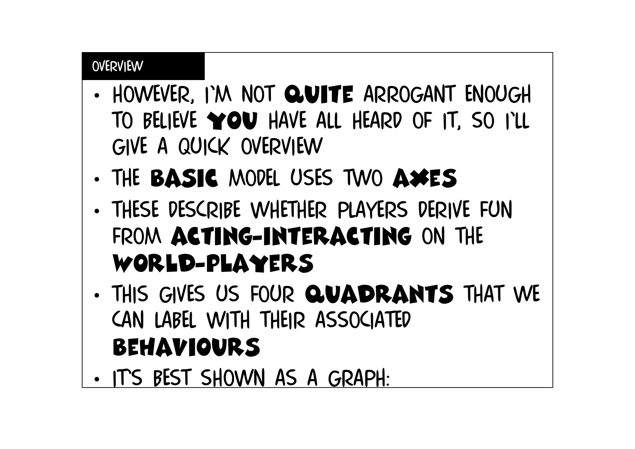## **OVERVIEW**

- •HOWEVER, I'M NOT QUITE ARROGANT ENOUGH TO BELIEVE YOU HAVE ALL HEARD OF IT, SO I'LL give a quick overview
- IHF RASIC MODEL O' THE **BASIC** MODEL USES TWO ASSES
- •THESE DESCRIBE WHETHER PLAYERS DERIVE FUN FROM ACTING-INTERACTING ON THE world-players
- •THIS GIVES US FOUR QUADRANTS THAT WE<br>CAN LAREL WATH THEID ASSOCIATED can label with their associated behaviours
- IT'S RFST SHOW <u>ITS BEST SHOWN AS A GRAPH:</u>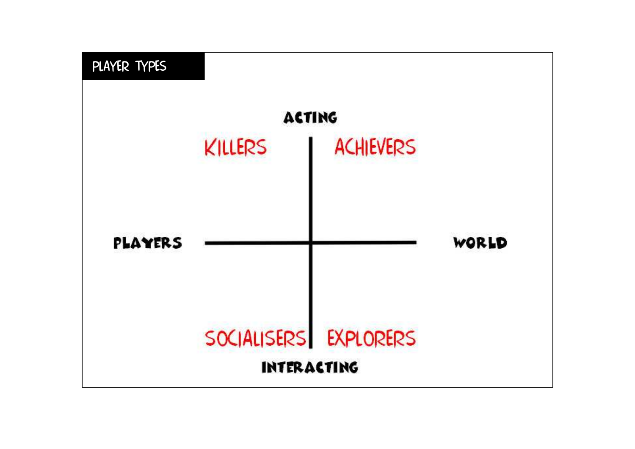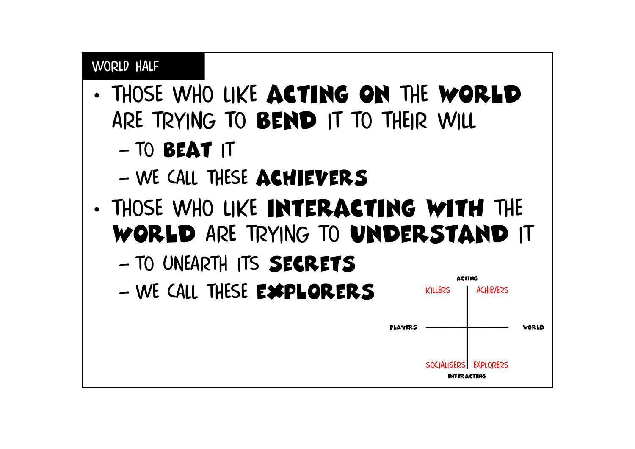#### World half

- •THOSE WHO LIKE ACTING ON THE WORLD ARE TRYING TO BEND IT TO THEIR WILL
	- –TO BEAT IT
	- –WE CALL THESE ACHIEVERS
- •THOSE WHO LIKE INTERACTING WITH THE<br>WORLD ADE TOVING TO UNDER STAND IT WORLD ARE TRYING TO UNDERSTAND IT
	- –TO UNEARTH ITS SECRETS

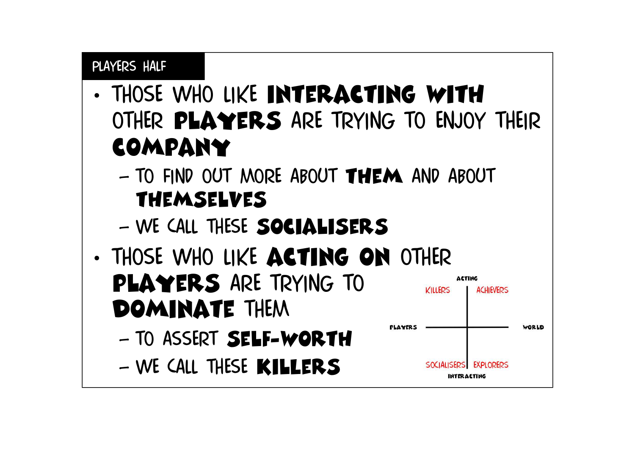## Players half

- •THOSE WHO LIKE **INTERACTING WITH**<br>OTHED DLAWED S ADE TOVING TO ENJOY other players are trying to enjoy their company
	- III PINIZ II TO FIND OUT MORE ABOUT THEM AND ABOUT themselves
	- –- WE CALL THESE SOCIALISERS
- THOSE WHO LIKE ACTING ON OTHER •PLAYERS ARE TRYING TO KILLERS dominate them**PLAYERS** TO ASSERT SELF-WORTH – IN ASSEDI **SELE** 
	- –WE CALL THESE KILLERS

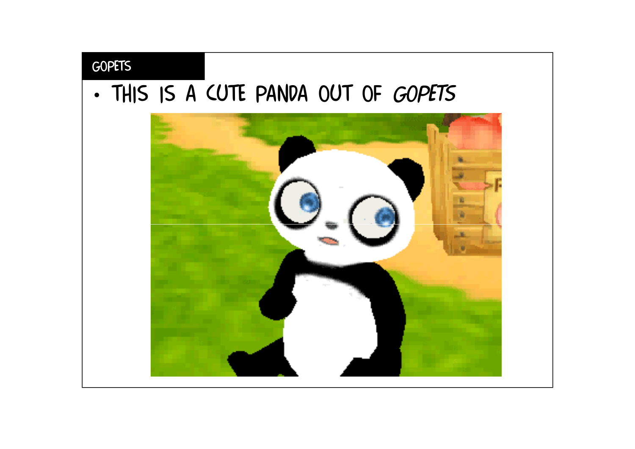## **GOPETS**

# •This is a cute panda out of *gopets*

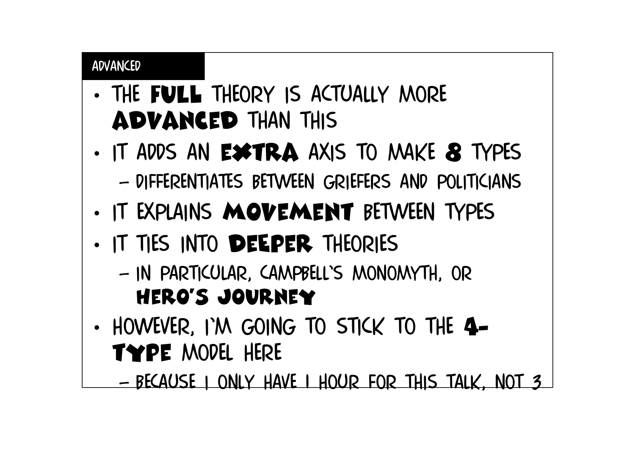## **ADVANCED**

- •THE FULL THEORY IS ACTUALLY MORE **ADVANCED THAN THIS**
- • It adds an extra axis to make <sup>8</sup> types –Differentiates between griefers and politicians
- •• IT EXPLAINS MOVEMENT BETWEEN TYPES
- • It ties into deEper theories
	- – In particular, campbell's monomyth, or hero's journey
- HOWEVER FA GOING HOWEVER, I'M GOING TO STICK TO THE 4type model here

–BECAUSE I ONLY HAVE I HOUR FOR THIS TALK, NOT 3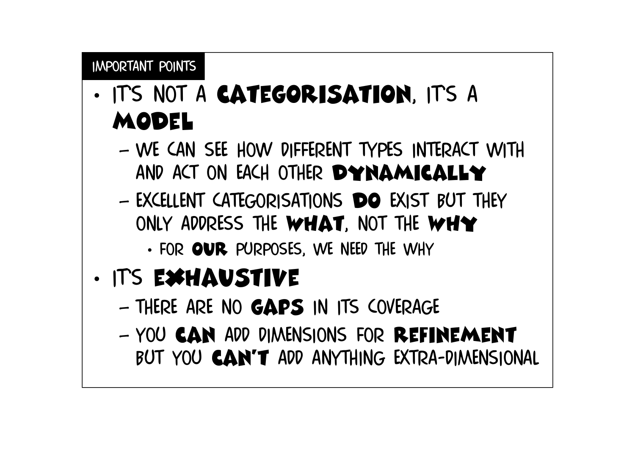## Important points

## •ITS NOT A **CATEGORISATION**, ITS A model

- –WE CAN SEE HOW DIFFERENT TYPES INTERACT WITH and act on each other dynamicaLly
- $-$  FXC FILENT ( ATF( )DISATIONS TOO FXIST ROLL EXCELLENT CATEGORISATIONS DO EXIST BUT THEY only address the what, not the why
	- •FOR OUR PURPOSES, WE NEED THE WHY

# •ITS EXHAUSTIVE

- –THERE ARE NO GAPS IN ITS COVERAGE
- –YOU CAN ADD DIMENSIONS FOR REFINEMENT but you can't add anything extra-dimensional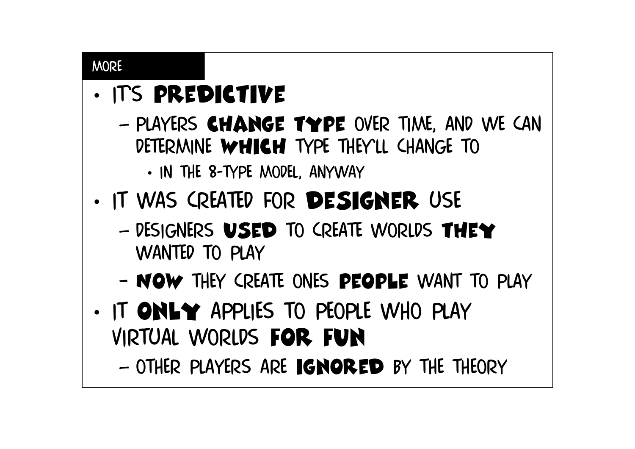#### **MORE**

# •ITS PREDICTIVE

- –PLAYERS CHANGE TYPE OVER TIME, AND WE CAN DETERMINE WHICH TYPE THEY'LL CHANGE TO
	- •In the 8-type model, anyway
- • It was created for designer use
	- –- DESIGNERS USED TO CREATE WORLDS THEY wanted to play
	- –NOW THEY CREATE ONES PEOPLE WANT TO PLAY
- •IT ONLY APPLIES TO PEOPLE WHO PLAY virtual worlds for fun– VILIFD PLAYFDS ADF **IGNOB** Other players are ignored by the theory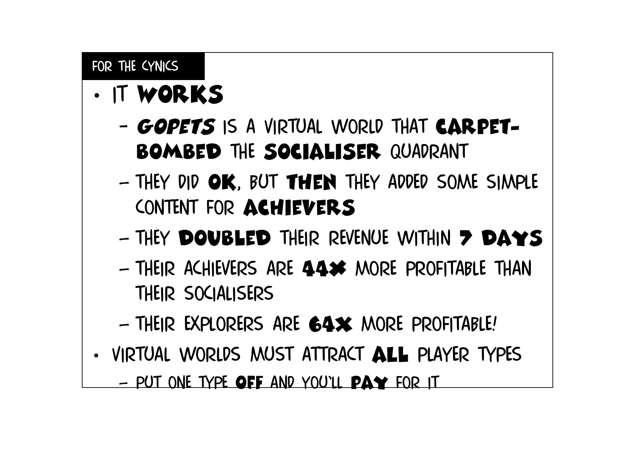## For the cynics

# •IT WORKS

- – *Gopets* is a virtual world that carpetbombed the socialiser quadrant
- –THEY DID OK, BUT THEN THEY ADDED SOME SIMPLE content for achievers
- –THEY DOUBLED THEIR REVENUE WITHIN 7 DAYS
- –THEIR ACHIEVERS ARE 44\* MORE PROFITABLE THAN their socialisers
- –Their Explorers are 64X more profitable!
- • Virtual worlds must attract aLl player types
	- –put one type oFf and you'll pay for it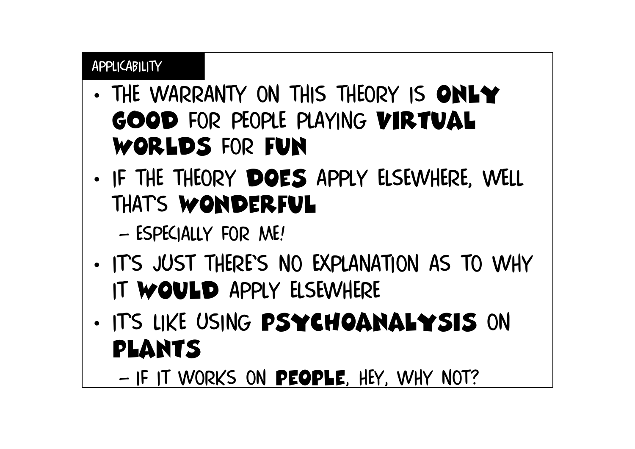## applicability

- •THE WARRANTY ON THIS THEORY IS ONLY gOod for people playing virtual worlds for fun
- • If the theory does apply elsewhere, well THATS WONDERFUL

–- ESPECIALLY FOR ME!

- •ITS JUST THERE'S NO EXPLANATION AS TO WHY it would apply elsewhere
- •ITS LIKE USING PSYCHOANALYSIS ON plants

– IF II V IF IT WORKS ON PEOPLE, HEY, WHY NOT?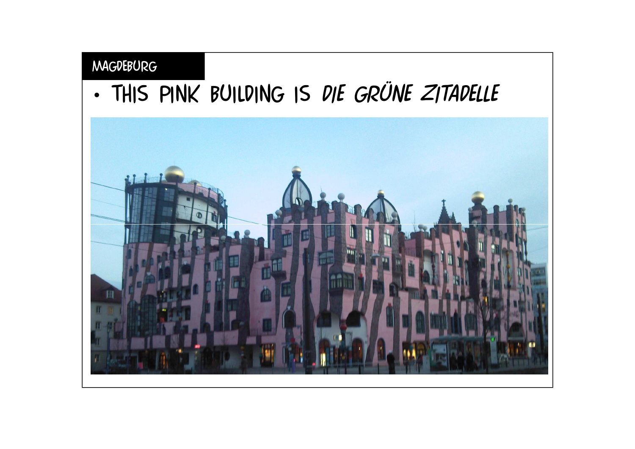## magdeburg

•This pink building is *Die Grüne Zitadelle*

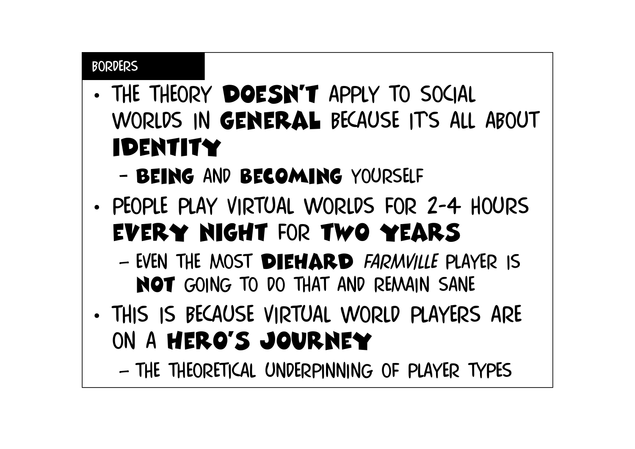## **BORDERS**

- •THE THEORY DOESN'T APPLY TO SOCIAL WORLDS IN GENERAL BECAUSE ITS ALL ABOUT identity
	- –BEING AND BECOMING YOURSELF
- •PEOPLE PLAY VIRTUAL WORLDS FOR 2-4 HOURS<br>EVED WATELLY FOR TWO WEADS every night for two years
	- FVEN THE MOST DIFWARD *FADMULLE*  Even the most diehard *farmville* player is not going to do that and remain sane
- •THIS IS BECAUSE VIRTUAL WORLD PLAYERS ARE on a hero's journey

— ТИР ТИРСЛИРТІК ДІ — СЛАПИРІДИАНАН The theoretical underpinning of Player types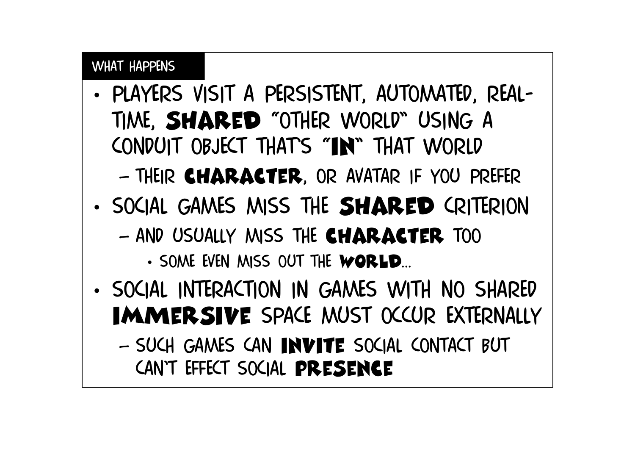## WHAT HAPPENS

- •PLAYERS VISIT A PERSISTENT, AUTOMATED, REAL-<br>TIAAE SUADED "OTHED WODLD" (ISING A TIME, SHARED "OTHER WORLD" USING A<br>CONDUIT ORIECT THAT'S "IN" THAT WODID CONDUIT OBJECT THAT'S "IN" THAT WORLD
	- –THEIR CHARACTER, OR AVATAR IF YOU PREFER
- •SOCIAL GAMES MISS THE SHARED CRITERION
	- –- AND USUALLY MISS THE CHARACTER TOO
		- •SOME EVEN MISS OUT THE WORLD...
- •SOCIAL INTERACTION IN GAMES WITH NO SHARED imMersive space must occur externally
	- –SUCH GAMES CAN INVITE SOCIAL CONTACT BUT can't effect social presence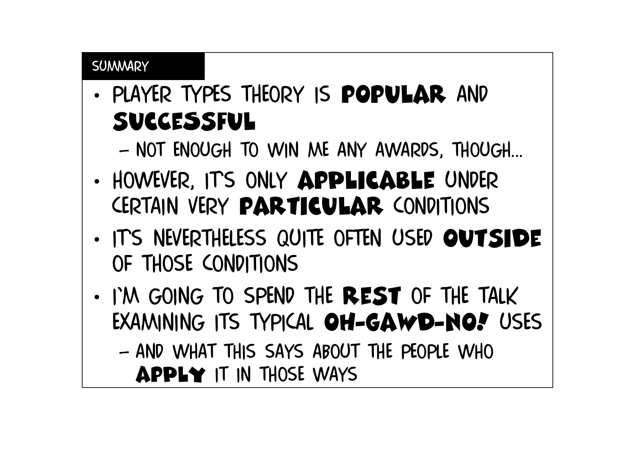### **SUMMARY**

• player types theory is popular and sucCeSsful

–NOT ENOUGH TO WIN ME ANY AWARDS, THOUGH...

- •HOWEVER, ITS ONLY APPLICABLE UNDER certain very particular conditions
- •. ITS NEVERTHELESS QUITE OFTEN USED OUTSIDE of those conditions
- •I'M GOING TO SPEND THE REST OF THE TALK EXAMINING ITS TYPICAL OH-GAWD-NO! USES

–AND WHAT THIS SAYS ABOUT THE PEOPLE WHO **APPLY** IT IN THOSE WAYS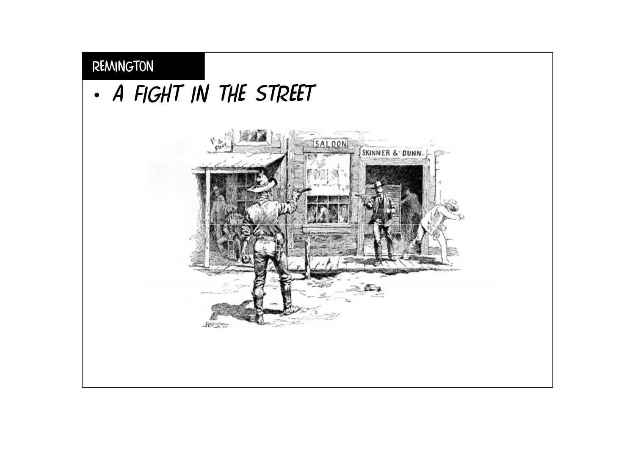## remington

•*A fight in the street*

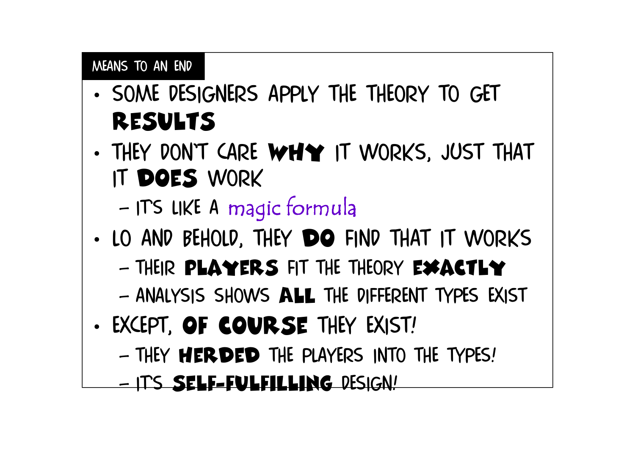# –It's self-fulfiLling design!

- –THEY WERDED THE PLAYERS INTO THE TYPES!
- •EXCEPT, OF COURSE THEY EXIST!
- ANALYSIS SHOWS **ALL** THE DIFFORM TYPES I ANALYSIS SHOWS ALL THE DIFFERENT TYPES EXIST
- –THEIR PLAYERS FIT THE THEORY EXACTLY
- •. LO AND BEHOLD, THEY DO FIND THAT IT WORKS
- –ITS LIKE A magic formula

Means to an end

- •THEY DON'T CARE WHY IT WORKS, JUST THAT it does work
- •SOME DESIGNERS APPLY THE THEORY TO GET results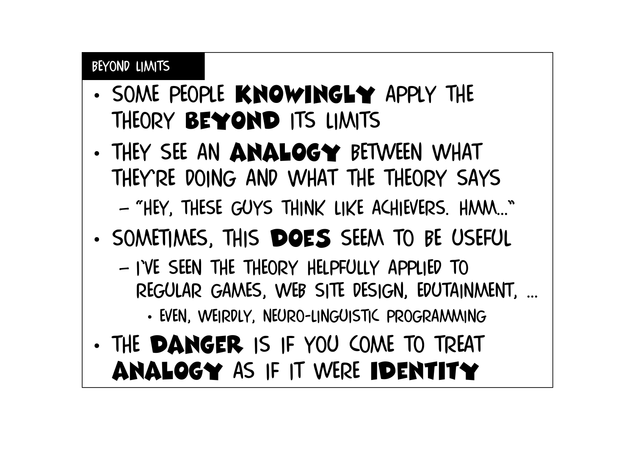#### Beyond limits

–

- •SOME PEOPLE KNOWINGLY APPLY THE THEORY BEYOND ITS LIMITS
- •THEY SEE AN ANALOGY BETWEEN WHAT they're doing and what the theory says
	- "hey, these guys think like achievers. Hmm..."
- •. SOMETIMES, THIS DOES SEEM TO BE USEFUL

– I've seen the theory helpfully applied to regular games, web site design, edutainment, ...

•Even, weirdly, neuro-linguistic programming

•THE DANGER IS IF YOU COME TO TREAT analogy as if it were identity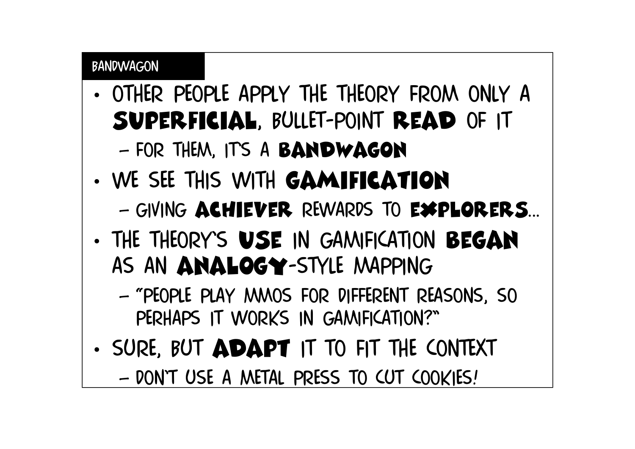## **BANDWAGON**

- •OTHER PEOPLE APPLY THE THEORY FROM ONLY A superficial, bullet-point read of it –FOR THEM, IT'S A **BANDWAGON**
- •WE SEE THIS WITH GAMIFICATION –GIVING ACHIEVER REWARDS TO EXPLORERS...
- •THE THEORY'S USE IN GAMIFICATION BEGAN as an analogy-style mapping
	- – "people play mmos for different reasons, so perhaps it works in gamification?"
- •SURE, BUT ADAPT IT TO FIT THE CONTEXT –DON'T USE A METAL PRESS TO CUT COOKIES!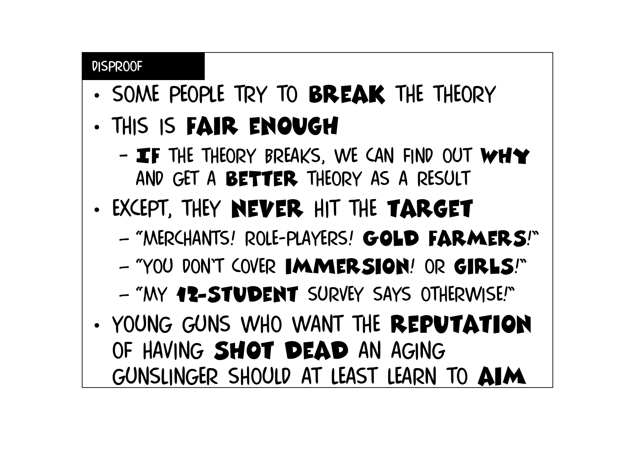## disproof

–

–

–

–

•

•

•

•SOME PEOPLE TRY TO BREAK THE THEORY

and get a beTter theory as a result

EXCEPT, THEY NEVER HIT THE TARGET

OF HAVING SHOT DEAD AN AGING<br>CLINSLINGED SHOLUD AT LEAST LEADN T

IF THE THEORY BREAKS, WE CAN FIND OUT WHY

"merchants! Role-players! Gold farmers!"

"You don't cover imMersion! Or girls!"

"My 12-student survey says otherwise!"

YOUNG GUNS WHO WANT THE REPUTATION

gunslinger should at least learn to aim

THIS IS FAIR ENOUGH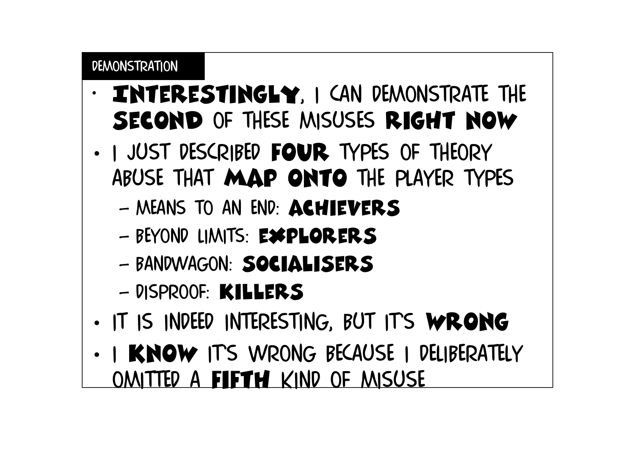## **DEMONSTRATION**

- • Interestingly, I can demonstrate the SECOND OF THESE MISUSES RIGHT NOW
- •I JUST DESCRIBED **FOUR** TYPES OF THEORY abuse that map onto the player types
	- –MEANS TO AN END: ACHIEVERS
	- –- Beyond Limits: Explorers
	- –BANDWAGON: SOCIALISERS
	- –DISPROOF: KILLERS
- •It is indeed interesting, but it's wrong
- •I KNOW ITS WRONG BECAUSE I DELIBERATELY<br>ONAITTED A FIETLE WIND OF MISCISE omitted a fifth kind of misuse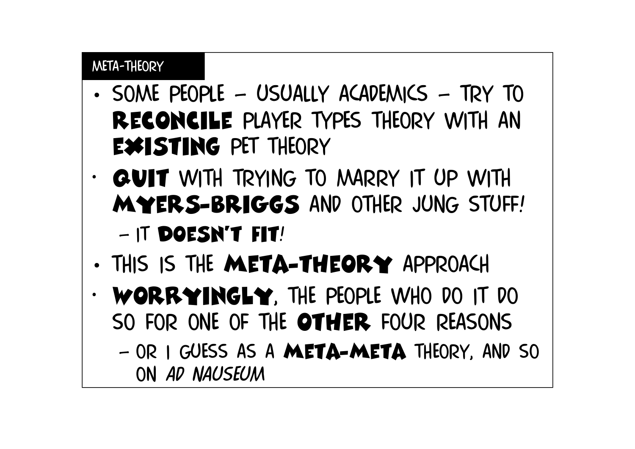## Meta-theory

- •SOME PEOPLE – USUALLY ACADEMICS – TRY TO RECONCILE PLAYER TYPES THEORY WITH AN existing pet theory
- •**QUIT** WITH TRYING TO MARRY IT UP WITH<br>MORER SURPLICES AND OTHER KING STUEE myers-briGgs and other jung stuff! – $-$  It doesn't fit!
- •THIS IS THE META-THEORY APPROACH
- •WORRYINGLY, THE PEOPLE WHO DO IT DO SO FOR ONE OF THE OTHER FOUR REASONS
	- –OR I GUESS AS A META-META THEORY, AND SO on *ad nauseum*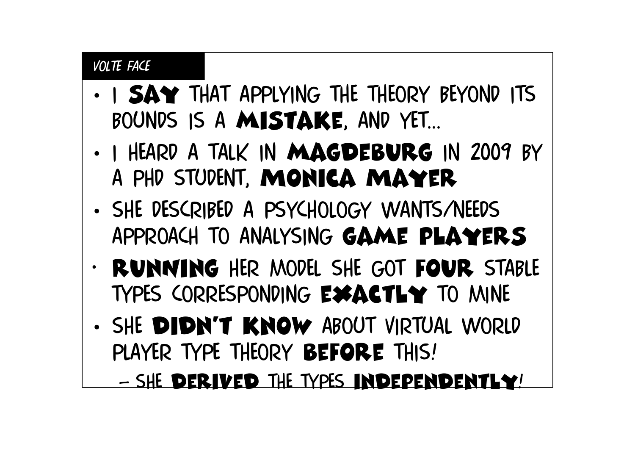## *Volte face*

- •I SAY THAT APPLYING THE THEORY BEYOND ITS<br>ROLINDS IS A MISTARE AND VET bounds is a mistake, and yet...
- •I HEARD A TALK IN MAGDEBURG IN 2009 BY a phd student, Monica Mayer
- SHE DESCRIBED A PSYCHOLOGY WANTS SHE DESCRIBED A PSYCHOLOGY WANTS/NEEDS<br>ADDDOACH TO ANALYSING **CAME DLAWED** approach to analysing game players
- RUNNING HER MODEL SHE GOT FOUR STABLE •TYPES CORRESPONDING EXACTLY TO MINE
- •SHE DIDN'T KNOW ABOUT VIRTUAL WORLD player type theory before this!

–She derived the types independently!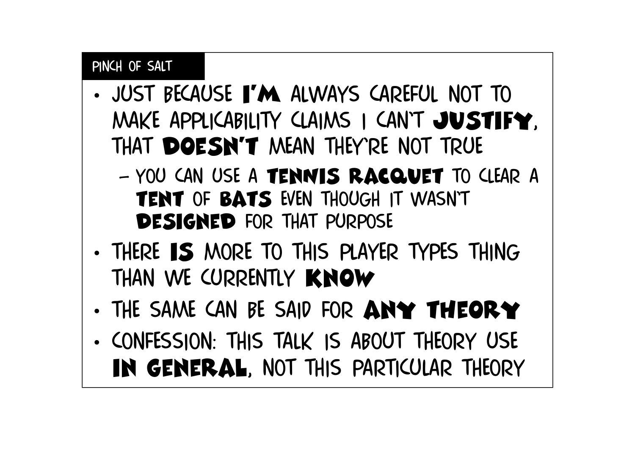## Pinch of salt

- •JUST BECAUSE I'M ALWAYS CAREFUL NOT TO<br>MAKE APPLICABILITY CLAIMS I CAN'T JUSTIFY make applicability claims i can't justify, that doesn't mean they're not true
	- –YOU CAN USE A **TENNIS RACQUET** TO CLEAR A<br>TENT OF RATS EVEN TUOUGH IT WASN'T TENT OF BATS EVEN THOUGH IT WASN'T DESIGNED FOR THAT PURPOSE
- •THERE **IS** MORE TO THIS PLAYER TYPES THING than we currently know
- IHF SAMF CAN BF SAID FOR THE SAME CAN BE SAID FOR ANY THEORY
- CONFFSSION: THIS TALK IS AROOF THEODY OF Confession: This talk is about theory use in general, not this particular theory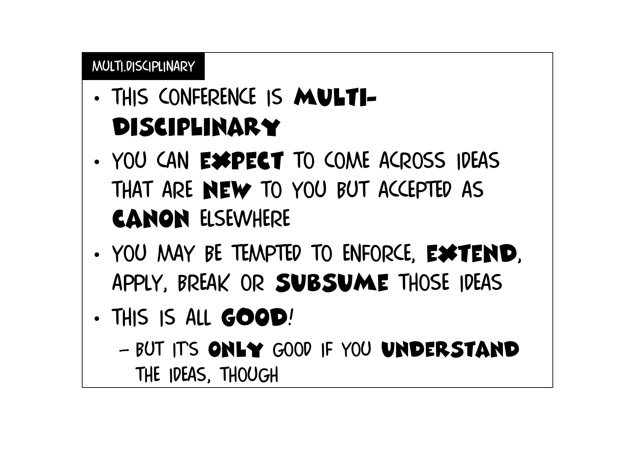## Multi.disciplinary

- •THIS CONFERENCE IS MULTIdisciplinary
- YOU (AN F**ykdf** YOU CAN EXPECT TO COME ACROSS IDEAS THAT ARE NEW TO YOU BUT ACCEPTED AS canon elsewhere
- •YOU MAY BE TEMPTED TO ENFORCE, EXTEND, apply, break or subsume those ideas
- •THIS IS ALL GOOD!
	- –BUT ITS ONLY GOOD IF YOU UNDERSTAND the ideas, though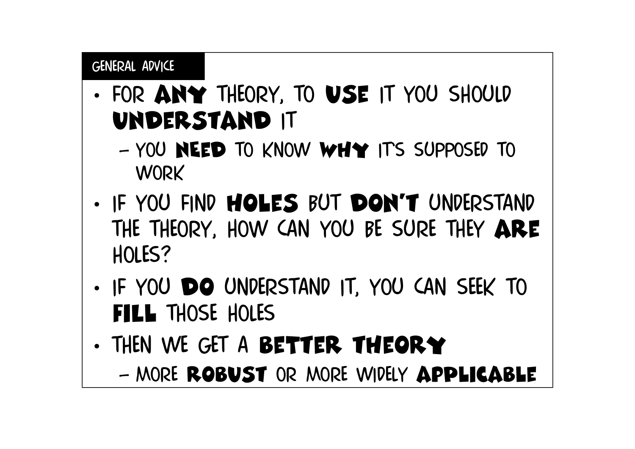## General advice

- •FOR ANY THEORY, TO USE IT YOU SHOULD understand it
	- –YOU NEED TO KNOW WHY ITS SUPPOSED TO **WORK**
- •IF YOU FIND HOLES BUT DON'T UNDERSTAND the theory, how can you be sure they areholes?
- • If you do understand it, you can seek to fiLl those holes
- •THEN WE GET A BETTER THEORY  $-$  and the behavior of the and the value of  $\boldsymbol{A}$ More robust or more widely apPlicable